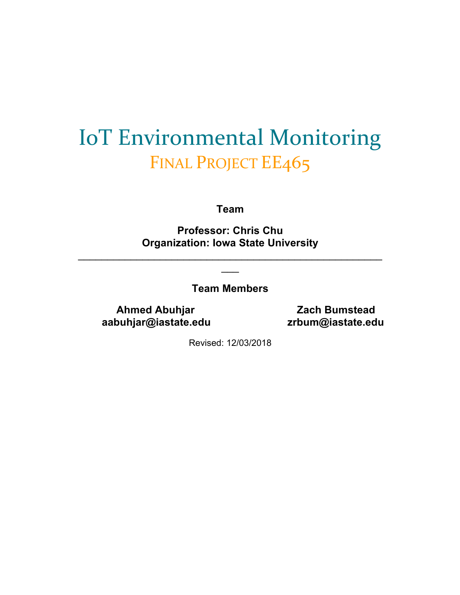# IoT Environmental Monitoring FINAL PROJECT EE465

**Team** 

**Professor: Chris Chu Organization: Iowa State University** 

 $\mathcal{L}_\text{max} = \mathcal{L}_\text{max} = \mathcal{L}_\text{max} = \mathcal{L}_\text{max} = \mathcal{L}_\text{max} = \mathcal{L}_\text{max} = \mathcal{L}_\text{max} = \mathcal{L}_\text{max} = \mathcal{L}_\text{max} = \mathcal{L}_\text{max} = \mathcal{L}_\text{max} = \mathcal{L}_\text{max} = \mathcal{L}_\text{max} = \mathcal{L}_\text{max} = \mathcal{L}_\text{max} = \mathcal{L}_\text{max} = \mathcal{L}_\text{max} = \mathcal{L}_\text{max} = \mathcal{$  $\overline{\phantom{a}}$ 

**Team Members**

**Ahmed Abuhjar Communist Cach Bumstead aabuhjar@iastate.edu zrbum@iastate.edu**

Revised: 12/03/2018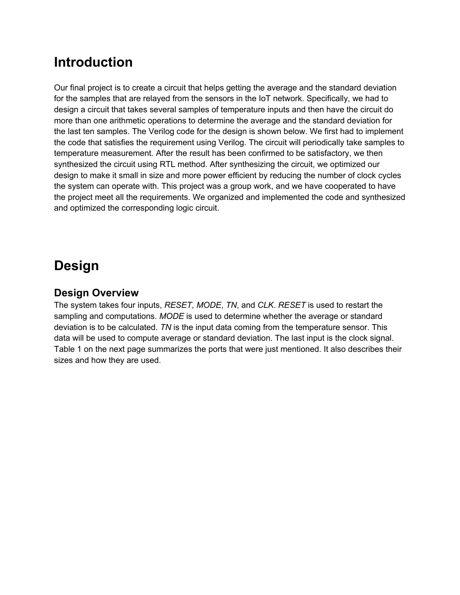### **Introduction**

Our final project is to create a circuit that helps getting the average and the standard deviation for the samples that are relayed from the sensors in the IoT network. Specifically, we had to design a circuit that takes several samples of temperature inputs and then have the circuit do more than one arithmetic operations to determine the average and the standard deviation for the last ten samples. The Verilog code for the design is shown below. We first had to implement the code that satisfies the requirement using Verilog. The circuit will periodically take samples to temperature measurement. After the result has been confirmed to be satisfactory, we then synthesized the circuit using RTL method. After synthesizing the circuit, we optimized our design to make it small in size and more power efficient by reducing the number of clock cycles the system can operate with. This project was a group work, and we have cooperated to have the project meet all the requirements. We organized and implemented the code and synthesized and optimized the corresponding logic circuit.

### **Design**

#### **Design Overview**

The system takes four inputs, *RESET*, *MODE*, *TN*, and *CLK*. *RESET* is used to restart the sampling and computations. *MODE* is used to determine whether the average or standard deviation is to be calculated. *TN* is the input data coming from the temperature sensor. This data will be used to compute average or standard deviation. The last input is the clock signal. Table 1 on the next page summarizes the ports that were just mentioned. It also describes their sizes and how they are used.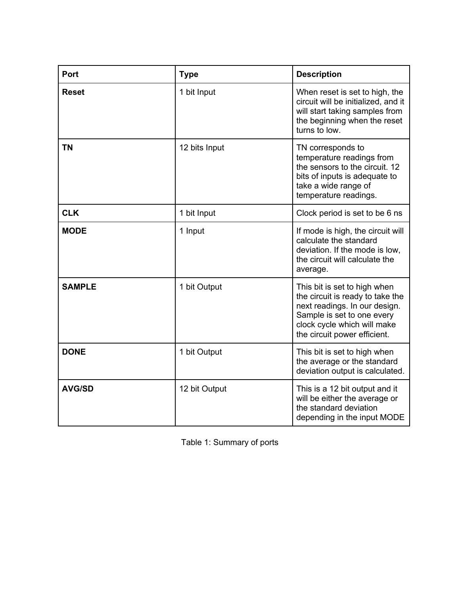| Port          | <b>Type</b>   | <b>Description</b>                                                                                                                                                                             |
|---------------|---------------|------------------------------------------------------------------------------------------------------------------------------------------------------------------------------------------------|
| <b>Reset</b>  | 1 bit Input   | When reset is set to high, the<br>circuit will be initialized, and it<br>will start taking samples from<br>the beginning when the reset<br>turns to low.                                       |
| <b>TN</b>     | 12 bits Input | TN corresponds to<br>temperature readings from<br>the sensors to the circuit. 12<br>bits of inputs is adequate to<br>take a wide range of<br>temperature readings.                             |
| <b>CLK</b>    | 1 bit Input   | Clock period is set to be 6 ns                                                                                                                                                                 |
| <b>MODE</b>   | 1 Input       | If mode is high, the circuit will<br>calculate the standard<br>deviation. If the mode is low,<br>the circuit will calculate the<br>average.                                                    |
| <b>SAMPLE</b> | 1 bit Output  | This bit is set to high when<br>the circuit is ready to take the<br>next readings. In our design.<br>Sample is set to one every<br>clock cycle which will make<br>the circuit power efficient. |
| <b>DONE</b>   | 1 bit Output  | This bit is set to high when<br>the average or the standard<br>deviation output is calculated.                                                                                                 |
| <b>AVG/SD</b> | 12 bit Output | This is a 12 bit output and it<br>will be either the average or<br>the standard deviation<br>depending in the input MODE                                                                       |

Table 1: Summary of ports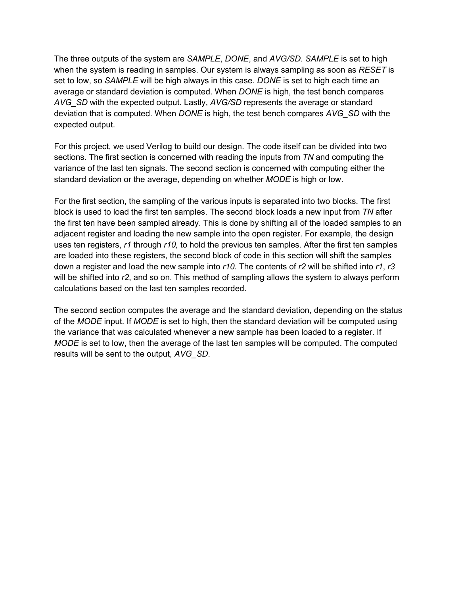The three outputs of the system are *SAMPLE*, *DONE*, and *AVG/SD*. *SAMPLE* is set to high when the system is reading in samples. Our system is always sampling as soon as *RESET* is set to low, so *SAMPLE* will be high always in this case. *DONE* is set to high each time an average or standard deviation is computed. When *DONE* is high, the test bench compares *AVG\_SD* with the expected output. Lastly, *AVG/SD* represents the average or standard deviation that is computed. When *DONE* is high, the test bench compares *AVG\_SD* with the expected output.

For this project, we used Verilog to build our design. The code itself can be divided into two sections. The first section is concerned with reading the inputs from *TN* and computing the variance of the last ten signals. The second section is concerned with computing either the standard deviation or the average, depending on whether *MODE* is high or low.

For the first section, the sampling of the various inputs is separated into two blocks. The first block is used to load the first ten samples. The second block loads a new input from *TN* after the first ten have been sampled already. This is done by shifting all of the loaded samples to an adjacent register and loading the new sample into the open register. For example, the design uses ten registers, *r1* through *r10,* to hold the previous ten samples. After the first ten samples are loaded into these registers, the second block of code in this section will shift the samples down a register and load the new sample into *r10.* The contents of *r2* will be shifted into *r1*, *r3* will be shifted into *r2*, and so on. This method of sampling allows the system to always perform calculations based on the last ten samples recorded.

The second section computes the average and the standard deviation, depending on the status of the *MODE* input. If *MODE* is set to high, then the standard deviation will be computed using the variance that was calculated whenever a new sample has been loaded to a register. If *MODE* is set to low, then the average of the last ten samples will be computed. The computed results will be sent to the output, *AVG\_SD*.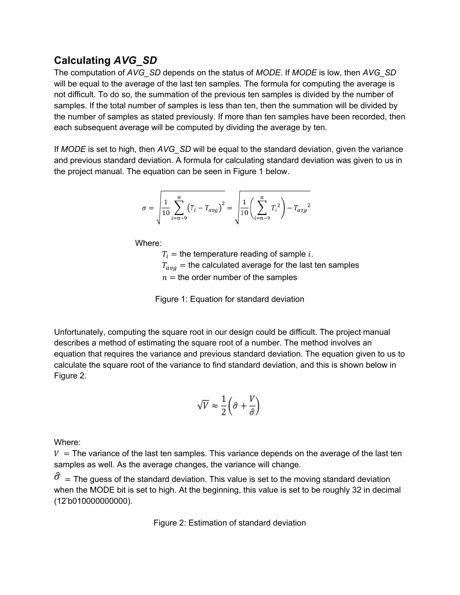#### **Calculating** *AVG\_SD*

The computation of *AVG\_SD* depends on the status of *MODE*. If *MODE* is low, then *AVG\_SD* will be equal to the average of the last ten samples. The formula for computing the average is not difficult. To do so, the summation of the previous ten samples is divided by the number of samples. If the total number of samples is less than ten, then the summation will be divided by the number of samples as stated previously. If more than ten samples have been recorded, then each subsequent average will be computed by dividing the average by ten.

If *MODE* is set to high, then *AVG\_SD* will be equal to the standard deviation, given the variance and previous standard deviation. A formula for calculating standard deviation was given to us in the project manual. The equation can be seen in Figure 1 below.

$$
\sigma = \sqrt{\frac{1}{10} \sum_{i=n-9}^{n} (T_i - T_{avg})^2} = \sqrt{\frac{1}{10} \left( \sum_{i=n-9}^{n} T_i^2 \right) - T_{avg}^2}
$$

Where:

 $T_i$  = the temperature reading of sample *i*.  $T_{avg}$  = the calculated average for the last ten samples  $n =$  the order number of the samples

Figure 1: Equation for standard deviation

Unfortunately, computing the square root in our design could be difficult. The project manual describes a method of estimating the square root of a number. The method involves an equation that requires the variance and previous standard deviation. The equation given to us to calculate the square root of the variance to find standard deviation, and this is shown below in Figure 2.

$$
\sqrt{V} \approx \frac{1}{2} \left( \hat{\sigma} + \frac{V}{\hat{\sigma}} \right)
$$

Where:

 $V =$  The variance of the last ten samples. This variance depends on the average of the last ten samples as well. As the average changes, the variance will change.

 $\hat{\sigma}$  = The guess of the standard deviation. This value is set to the moving standard deviation when the MODE bit is set to high. At the beginning, this value is set to be roughly 32 in decimal (12'b010000000000).

Figure 2: Estimation of standard deviation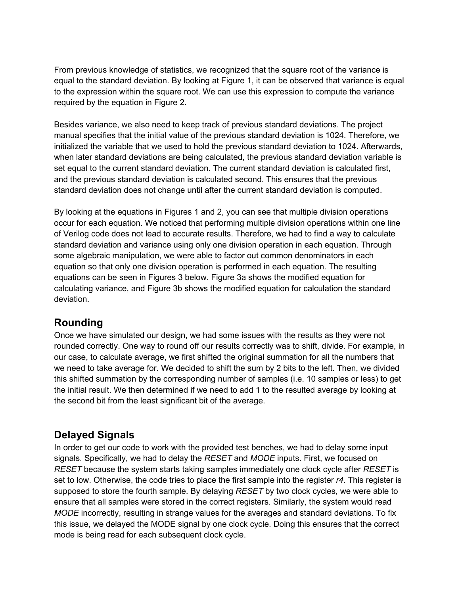From previous knowledge of statistics, we recognized that the square root of the variance is equal to the standard deviation. By looking at Figure 1, it can be observed that variance is equal to the expression within the square root. We can use this expression to compute the variance required by the equation in Figure 2.

Besides variance, we also need to keep track of previous standard deviations. The project manual specifies that the initial value of the previous standard deviation is 1024. Therefore, we initialized the variable that we used to hold the previous standard deviation to 1024. Afterwards, when later standard deviations are being calculated, the previous standard deviation variable is set equal to the current standard deviation. The current standard deviation is calculated first, and the previous standard deviation is calculated second. This ensures that the previous standard deviation does not change until after the current standard deviation is computed.

By looking at the equations in Figures 1 and 2, you can see that multiple division operations occur for each equation. We noticed that performing multiple division operations within one line of Verilog code does not lead to accurate results. Therefore, we had to find a way to calculate standard deviation and variance using only one division operation in each equation. Through some algebraic manipulation, we were able to factor out common denominators in each equation so that only one division operation is performed in each equation. The resulting equations can be seen in Figures 3 below. Figure 3a shows the modified equation for calculating variance, and Figure 3b shows the modified equation for calculation the standard deviation.

#### **Rounding**

Once we have simulated our design, we had some issues with the results as they were not rounded correctly. One way to round off our results correctly was to shift, divide. For example, in our case, to calculate average, we first shifted the original summation for all the numbers that we need to take average for. We decided to shift the sum by 2 bits to the left. Then, we divided this shifted summation by the corresponding number of samples (i.e. 10 samples or less) to get the initial result. We then determined if we need to add 1 to the resulted average by looking at the second bit from the least significant bit of the average.

#### **Delayed Signals**

In order to get our code to work with the provided test benches, we had to delay some input signals. Specifically, we had to delay the *RESET* and *MODE* inputs. First, we focused on *RESET* because the system starts taking samples immediately one clock cycle after *RESET* is set to low. Otherwise, the code tries to place the first sample into the register *r4*. This register is supposed to store the fourth sample. By delaying *RESET* by two clock cycles, we were able to ensure that all samples were stored in the correct registers. Similarly, the system would read *MODE* incorrectly, resulting in strange values for the averages and standard deviations. To fix this issue, we delayed the MODE signal by one clock cycle. Doing this ensures that the correct mode is being read for each subsequent clock cycle.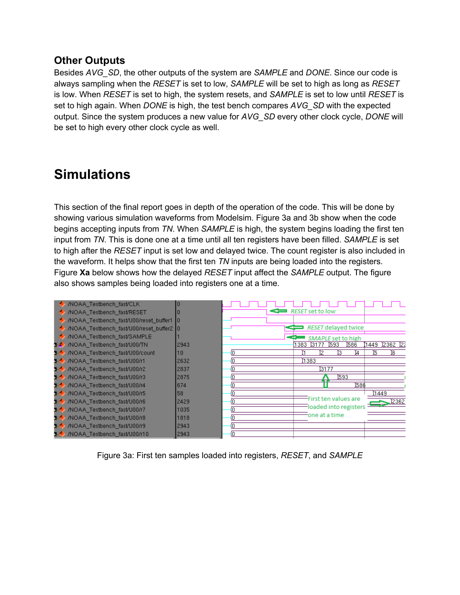#### **Other Outputs**

Besides *AVG\_SD*, the other outputs of the system are *SAMPLE* and *DONE*. Since our code is always sampling when the *RESET* is set to low, *SAMPLE* will be set to high as long as *RESET* is low. When *RESET* is set to high, the system resets, and *SAMPLE* is set to low until *RESET* is set to high again. When *DONE* is high, the test bench compares *AVG\_SD* with the expected output. Since the system produces a new value for *AVG\_SD* every other clock cycle, *DONE* will be set to high every other clock cycle as well.

### **Simulations**

This section of the final report goes in depth of the operation of the code. This will be done by showing various simulation waveforms from Modelsim. Figure 3a and 3b show when the code begins accepting inputs from *TN*. When *SAMPLE* is high, the system begins loading the first ten input from *TN*. This is done one at a time until all ten registers have been filled. *SAMPLE* is set to high after the *RESET* input is set low and delayed twice. The count register is also included in the waveform. It helps show that the first ten *TN* inputs are being loaded into the registers. Figure **Xa** below shows how the delayed *RESET* input affect the *SAMPLE* output. The figure also shows samples being loaded into registers one at a time.



Figure 3a: First ten samples loaded into registers, *RESET*, and *SAMPLE*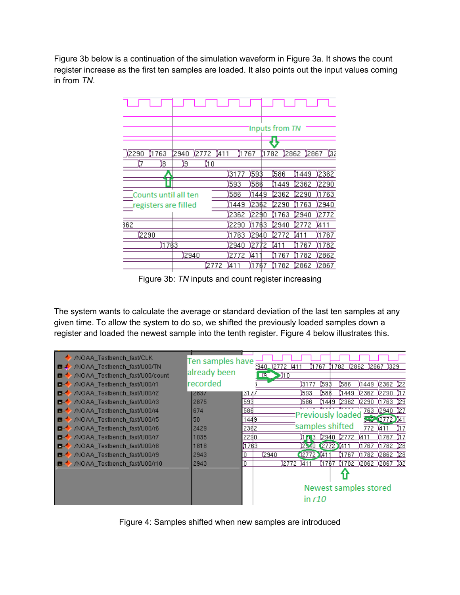Figure 3b below is a continuation of the simulation waveform in Figure 3a. It shows the count register increase as the first ten samples are loaded. It also points out the input values coming in from *TN*.

|                          |           |                             |               |                    |      | Inputs from TN |                       |                    |
|--------------------------|-----------|-----------------------------|---------------|--------------------|------|----------------|-----------------------|--------------------|
|                          |           |                             |               |                    |      |                |                       |                    |
| 763<br>12290<br>ί8<br>Ϊ7 | 2940<br>Θ | 12772<br>411<br>$\sqrt{10}$ | 1767          |                    | 1782 |                | 2862 2867             | ŢΣ                 |
|                          |           |                             | 7<br>31<br>7  | 593                |      | 586            | $\sqrt[3]{1449}$      | 2362               |
| Counts until all ten     |           |                             | 593<br>586    | 586<br>1449        |      | (1449<br>2362  | 2362<br>2290          | 2290<br>(1763)     |
| registers are filled     |           |                             | ,1449∫        | 2362               |      | 2290           | $\mathfrak{g}$<br>763 | 2940               |
| $\frac{362}{2}$          |           |                             | 2362<br>2290  | ľ2290<br>763<br>đ. | ľ1   | 763<br>2940    | 2940<br>ï2772         | 2772<br><b>A11</b> |
| 2290                     |           |                             | $\sqrt{1763}$ | 12940              |      | Ï27<br>7       | Ï4                    | 1767               |
| 1763                     |           |                             | 2940          | 127                | 72   | Ï41            | (1767                 | (1782)             |
|                          | 2940      |                             | ľ2772         | Ï41                |      | (1767          | 782<br>Ï1             | 2862               |
|                          |           | (2772                       | Ï41           | 76<br>ľ1           | Ť1   | 782            | 2862                  | 2867               |

Figure 3b: *TN* inputs and count register increasing

The system wants to calculate the average or standard deviation of the last ten samples at any given time. To allow the system to do so, we shifted the previously loaded samples down a register and loaded the newest sample into the tenth register. Figure 4 below illustrates this.

| /NOAA Testbench fast/CLK<br>/NOAA Testbench fast/U00/TN<br>ш<br>/NOAA Testbench fast/U00/count<br>n | Ten samples have<br>already been |        | :940.<br>DG 1 | 2772<br>1411<br>>110 |                  | I 767           | 1782                    | 12862                 | 1329<br>"12867 |      |
|-----------------------------------------------------------------------------------------------------|----------------------------------|--------|---------------|----------------------|------------------|-----------------|-------------------------|-----------------------|----------------|------|
| /NOAA_Testbench_fast/U00/r1<br>n                                                                    | recorded                         |        |               |                      | 【3177            | 593             | \$586                   | (1449-                | 12362          | ÿ22  |
| /NOAA Testbench fast/U00/r2<br>n                                                                    | 2837                             | 131 47 |               |                      | (593             | 586)            | 1449                    | 12362                 | I2290          | I1 7 |
| /NOAA_Testbench_fast/U00/r3<br>в                                                                    | 2875                             | 593    |               |                      | 586              | 1449            | 12362                   | (2290                 | I 1763         | Ï29  |
| /NOAA Testbench fast/U00/r4<br>п.                                                                   | 674                              | 586    |               |                      |                  | 15 <del>.</del> | Previously loaded       | 763.                  | I2940          | Ï27  |
| /NOAA Testbench fast/U00/r5<br>m.                                                                   | 58                               | 1449   |               |                      |                  |                 |                         | والبين                | $(2772)$ $41$  |      |
| /NOAA Testbench fast/U00/r6<br>n                                                                    | 2429                             | 2362   |               |                      |                  |                 | samples shifted         | 772                   | ĭ41            | ľ17  |
| /NOAA Testbench fast/U00/r7<br>n                                                                    | 1035                             | 2290   |               |                      | (1 <b>m</b> 3    | 12940           | 12772                   | Ï411                  | , 1767         | I17  |
| /NOAA_Testbench_fast/U00/r8<br>m.                                                                   | 1818                             | 1763   |               |                      | 2340             |                 | $(2772)$ <sub>411</sub> | (1767                 | I 1782         | ÿ28  |
| /NOAA Testbench fast/U00/r9<br>n.                                                                   | 2943                             | 0      | 2940          |                      | $(2772)$ 411     |                 | 1767                    | I 1782                | 12862          | ∦28  |
| /NOAA Testbench fast/U00/r10                                                                        | 2943                             | Ω      |               | 12772                | V <sub>411</sub> | 1767            | (1782                   | 12862                 | 12867          | 132  |
|                                                                                                     |                                  |        |               |                      |                  |                 |                         |                       |                |      |
|                                                                                                     |                                  |        |               |                      |                  |                 |                         | Newest samples stored |                |      |
|                                                                                                     |                                  |        |               |                      | in $r10$         |                 |                         |                       |                |      |

Figure 4: Samples shifted when new samples are introduced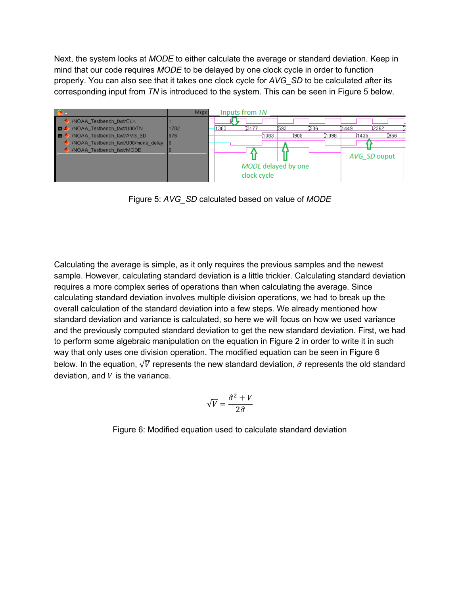Next, the system looks at *MODE* to either calculate the average or standard deviation. Keep in mind that our code requires *MODE* to be delayed by one clock cycle in order to function properly. You can also see that it takes one clock cycle for *AVG\_SD* to be calculated after its corresponding input from *TN* is introduced to the system. This can be seen in Figure 5 below.



Figure 5: *AVG\_SD* calculated based on value of *MODE*

Calculating the average is simple, as it only requires the previous samples and the newest sample. However, calculating standard deviation is a little trickier. Calculating standard deviation requires a more complex series of operations than when calculating the average. Since calculating standard deviation involves multiple division operations, we had to break up the overall calculation of the standard deviation into a few steps. We already mentioned how standard deviation and variance is calculated, so here we will focus on how we used variance and the previously computed standard deviation to get the new standard deviation. First, we had to perform some algebraic manipulation on the equation in Figure 2 in order to write it in such way that only uses one division operation. The modified equation can be seen in Figure 6 below. In the equation,  $\sqrt{V}$  represents the new standard deviation,  $\hat{\sigma}$  represents the old standard deviation, and  $V$  is the variance.

$$
\sqrt{V} = \frac{\hat{\sigma}^2 + V}{2\hat{\sigma}}
$$

Figure 6: Modified equation used to calculate standard deviation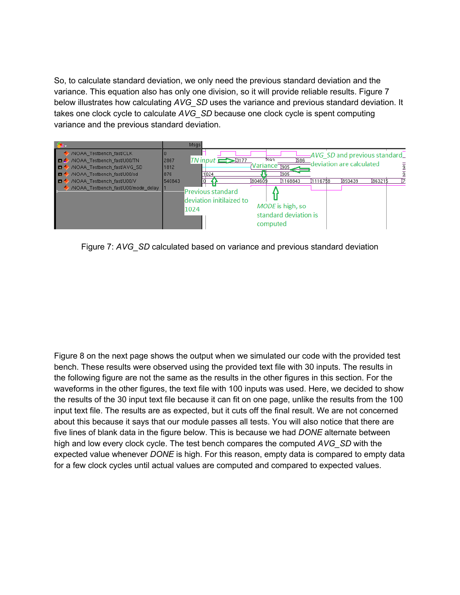So, to calculate standard deviation, we only need the previous standard deviation and the variance. This equation also has only one division, so it will provide reliable results. Figure 7 below illustrates how calculating *AVG\_SD* uses the variance and previous standard deviation. It takes one clock cycle to calculate *AVG\_SD* because one clock cycle is spent computing variance and the previous standard deviation.



Figure 7: *AVG\_SD* calculated based on variance and previous standard deviation

Figure 8 on the next page shows the output when we simulated our code with the provided test bench. These results were observed using the provided text file with 30 inputs. The results in the following figure are not the same as the results in the other figures in this section. For the waveforms in the other figures, the text file with 100 inputs was used. Here, we decided to show the results of the 30 input text file because it can fit on one page, unlike the results from the 100 input text file. The results are as expected, but it cuts off the final result. We are not concerned about this because it says that our module passes all tests. You will also notice that there are five lines of blank data in the figure below. This is because we had *DONE* alternate between high and low every clock cycle. The test bench compares the computed *AVG\_SD* with the expected value whenever *DONE* is high. For this reason, empty data is compared to empty data for a few clock cycles until actual values are computed and compared to expected values.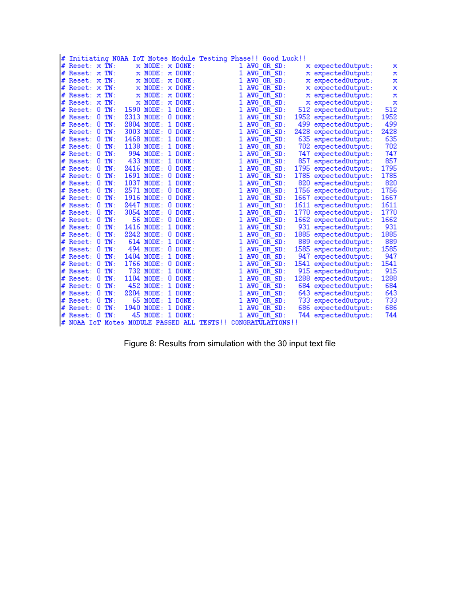|                     |  |                               |           | # Initiating NOAA IoT Motes Module Testing Phase!! Good Luck!! |    |              |                   |                      |      |
|---------------------|--|-------------------------------|-----------|----------------------------------------------------------------|----|--------------|-------------------|----------------------|------|
| $#$ Reset: $x$ TN:  |  | $\times$ MODE: $\times$ DONE: |           |                                                                |    | 1 AVG OR SD: |                   | x expected0utput:    | х    |
| $#$ Reset: $x$ TN:  |  | $\times$ MODE: $\times$ DONE: |           |                                                                | 1  | AVG OR SD:   |                   | x expected0utput:    | х    |
| $#$ Reset: $x$ TN:  |  | $\times$ MODE: $\times$ DONE: |           |                                                                | ı  | AVG OR SD:   |                   | x expected0utput:    | x    |
| $#$ Reset: $x$ TN:  |  | $\times$ MODE: $\times$ DONE: |           |                                                                | ı  | AVG OR SD:   |                   | x expected0utput:    | x    |
| $#$ Reset: $x$ TN:  |  | $\times$ MODE: $\times$ DONE: |           |                                                                |    | AVG OR SD:   |                   | x expected0utput:    | x    |
| # Reset: x TN:      |  | $\times$ MODE: $\times$ DONE: |           |                                                                |    | AVG OR SD:   |                   | x expected0utput:    | x    |
| $\#$ Reset: $0$ TN: |  | 1590 MODE: 1 DONE:            |           |                                                                |    | AVG OR SD:   |                   | 512 expected0utput:  | 512  |
| $#$ Reset: $0$ TN:  |  | 2313 MODE:                    | $0$ DONE: |                                                                |    | AVG OR SD:   |                   | 1952 expectedOutput: | 1952 |
| $#$ Reset: $0$ TN:  |  | 2804 MODE:                    | $1$ DONE: |                                                                |    | AVG OR SD:   |                   | 499 expected0utput:  | 499  |
| $#$ Reset: $0$ TN:  |  | 3003 MODE:                    | $0$ DONE: |                                                                |    | AVG OR SD:   |                   | 2428 expected0utput: | 2428 |
| $#$ Reset: $0$ TN:  |  | 1468 MODE:                    | $1$ DONE: |                                                                |    | AVG OR SD:   |                   | 635 expected0utput:  | 635  |
| $#$ Reset: $0$ TN:  |  | 1138 MODE:                    | $1$ DONE: |                                                                |    | AVG OR SD:   |                   | 702 expected0utput:  | 702  |
| $#$ Reset: $0$ TN:  |  | 994 MODE:                     | $1$ DONE: |                                                                |    | AVG OR SD:   |                   | 747 expected0utput:  | 747  |
| $\#$ Reset: $0$ TN: |  | 433 MODE:                     | $1$ DONE: |                                                                |    | AVG OR SD:   |                   | 857 expected0utput:  | 857  |
| $#$ Reset: $0$ TN:  |  | 2416 MODE:                    | $0$ DONE: |                                                                |    | AVG OR SD:   |                   | 1795 expected0utput: | 1795 |
| $#$ Reset: $0$ TN:  |  | 1691 MODE:                    | $0$ DONE: |                                                                |    | AVG OR SD:   |                   | 1785 expected0utput: | 1785 |
| $#$ Reset: $0$ TN:  |  | 1037 MODE:                    | $1$ DONE: |                                                                |    | AVG OR SD:   |                   | 820 expected0utput:  | 820  |
| $#$ Reset: $0$ TN:  |  | 2571 MODE:                    | $0$ DONE: |                                                                |    | AVG OR SD:   |                   | 1756 expected0utput: | 1756 |
| $#$ Reset: $0$ TN:  |  | 1916 MODE:                    | $0$ DONE: |                                                                |    | AVG OR SD:   |                   | 1667 expected0utput: | 1667 |
| $#$ Reset: $0$ TN:  |  | 2447 MODE:                    | $0$ DONE: |                                                                |    | AVG OR SD:   |                   | 1611 expected0utput: | 1611 |
| $#$ Reset: $0$ TN:  |  | 3054 MODE:                    | $0$ DONE: |                                                                |    | AVG OR SD:   |                   | 1770 expected0utput: | 1770 |
| $\#$ Reset: $0$ TN: |  | 56 MODE: 0 DONE:              |           |                                                                |    | AVG OR SD:   |                   | 1662 expected0utput: | 1662 |
| $#$ Reset: $0$ TN:  |  | 1416 MODE:                    | $1$ DONE: |                                                                |    | AVG OR SD:   |                   | 931 expected0utput:  | 931  |
| $#$ Reset: $0$ TN:  |  | $2242$ MODE:                  | $0$ DONE: |                                                                |    | AVG OR SD:   |                   | 1885 expected0utput: | 1885 |
| $#$ Reset: $0$ TN:  |  | $614 \text{ MODE}:$           | $1$ DONE: |                                                                |    | AVG OR SD:   |                   | 889 expected0utput:  | 889  |
| $#$ Reset: $0$ TN:  |  | 494 MODE:                     | $0$ DONE: |                                                                |    | AVG OR SD:   |                   | 1585 expected0utput: | 1585 |
| $#$ Reset: $0$ TN:  |  | 1404 MODE:                    | $1$ DONE: |                                                                |    | AVG OR SD:   |                   | 947 expected0utput:  | 947  |
| $#$ Reset: $0$ TN:  |  | 1766 MODE:                    | $0$ DONE: |                                                                |    | AVG OR SD:   |                   | 1541 expected0utput: | 1541 |
| $#$ Reset: $0$ TN:  |  | 732 MODE:                     | $1$ DONE: |                                                                |    | AVG OR SD:   |                   | 915 expected0utput:  | 915  |
| $#$ Reset: $0$ TN:  |  | 1104 MODE:                    | $0$ DONE: |                                                                |    | AVG OR SD:   |                   | 1288 expected0utput: | 1288 |
| $#$ Reset: $0$ TN:  |  | 452 MODE:                     | $1$ DONE: |                                                                |    | AVG OR SD:   |                   | 684 expected0utput:  | 684  |
| $#$ Reset: $0$ TN:  |  | 2204 MODE:                    | $1$ DONE: |                                                                | 1  | AVG OR SD:   |                   | 643 expected0utput:  | 643  |
| $#$ Reset: $0$ TN:  |  | 65 MODE:                      | $1$ DONE: |                                                                | 1. | AVG OR SD:   |                   | 733 expected0utput:  | 733  |
| $#$ Reset: $0$ TN:  |  | 1940 MODE:                    | $1$ DONE: |                                                                |    | 1 AVG OR SD: |                   | 686 expected0utput:  | 686  |
| # Reset: 0 TN:      |  | 45 MODE: 1 DONE:              |           |                                                                |    | 1 AVG OR SD: |                   | 744 expected0utput:  | 744  |
| l#                  |  |                               |           | NOAA IoT Motes MODULE PASSED ALL TESTS!!                       |    |              | CONGRATULATIONS!! |                      |      |
|                     |  |                               |           |                                                                |    |              |                   |                      |      |

| Figure 8: Results from simulation with the 30 input text file |
|---------------------------------------------------------------|
|                                                               |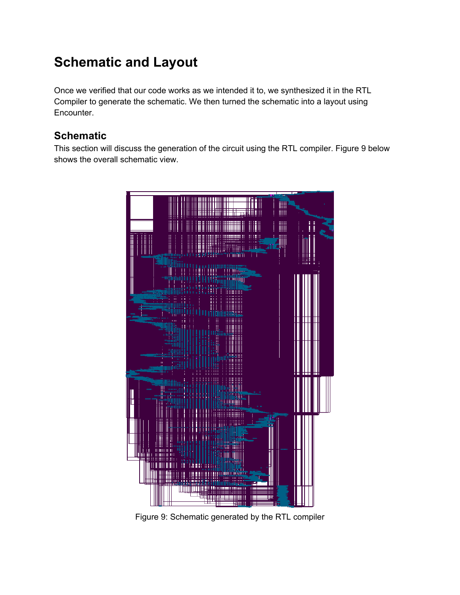## **Schematic and Layout**

Once we verified that our code works as we intended it to, we synthesized it in the RTL Compiler to generate the schematic. We then turned the schematic into a layout using Encounter.

#### **Schematic**

This section will discuss the generation of the circuit using the RTL compiler. Figure 9 below shows the overall schematic view.



Figure 9: Schematic generated by the RTL compiler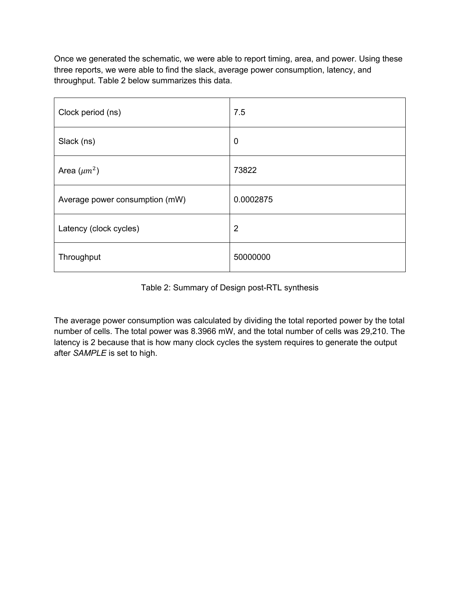Once we generated the schematic, we were able to report timing, area, and power. Using these three reports, we were able to find the slack, average power consumption, latency, and throughput. Table 2 below summarizes this data.

| Clock period (ns)              | 7.5            |
|--------------------------------|----------------|
| Slack (ns)                     | $\mathbf 0$    |
| Area $(\mu m^2)$               | 73822          |
| Average power consumption (mW) | 0.0002875      |
| Latency (clock cycles)         | $\overline{2}$ |
| Throughput                     | 50000000       |

Table 2: Summary of Design post-RTL synthesis

The average power consumption was calculated by dividing the total reported power by the total number of cells. The total power was 8.3966 mW, and the total number of cells was 29,210. The latency is 2 because that is how many clock cycles the system requires to generate the output after *SAMPLE* is set to high.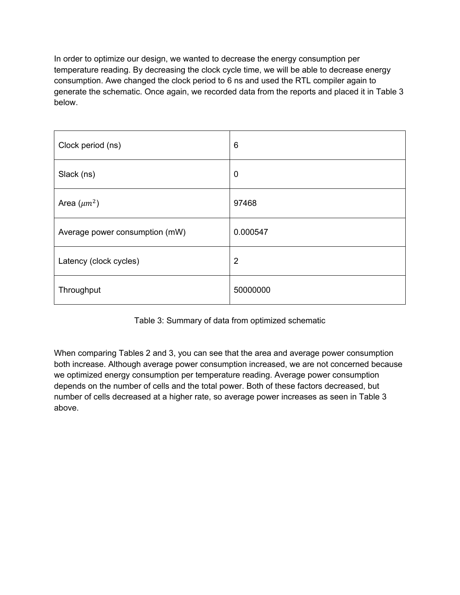In order to optimize our design, we wanted to decrease the energy consumption per temperature reading. By decreasing the clock cycle time, we will be able to decrease energy consumption. Awe changed the clock period to 6 ns and used the RTL compiler again to generate the schematic. Once again, we recorded data from the reports and placed it in Table 3 below.

| Clock period (ns)              | 6                |
|--------------------------------|------------------|
| Slack (ns)                     | $\boldsymbol{0}$ |
| Area $(\mu m^2)$               | 97468            |
| Average power consumption (mW) | 0.000547         |
| Latency (clock cycles)         | $\overline{2}$   |
| Throughput                     | 50000000         |

Table 3: Summary of data from optimized schematic

When comparing Tables 2 and 3, you can see that the area and average power consumption both increase. Although average power consumption increased, we are not concerned because we optimized energy consumption per temperature reading. Average power consumption depends on the number of cells and the total power. Both of these factors decreased, but number of cells decreased at a higher rate, so average power increases as seen in Table 3 above.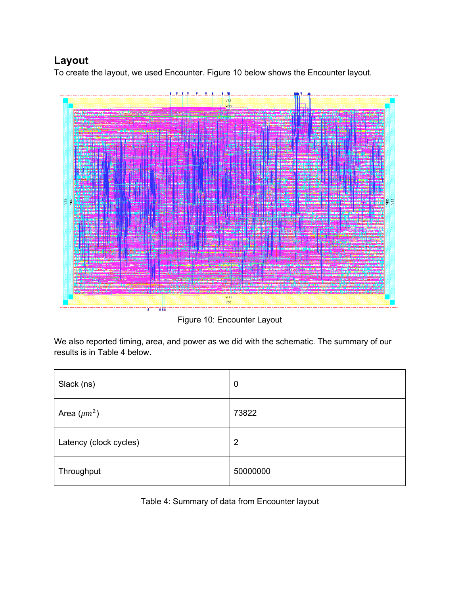#### **Layout**

To create the layout, we used Encounter. Figure 10 below shows the Encounter layout.



Figure 10: Encounter Layout

We also reported timing, area, and power as we did with the schematic. The summary of our results is in Table 4 below.

| Slack (ns)             | $\boldsymbol{0}$ |
|------------------------|------------------|
| Area $(\mu m^2)$       | 73822            |
| Latency (clock cycles) | $\overline{2}$   |
| Throughput             | 50000000         |

Table 4: Summary of data from Encounter layout